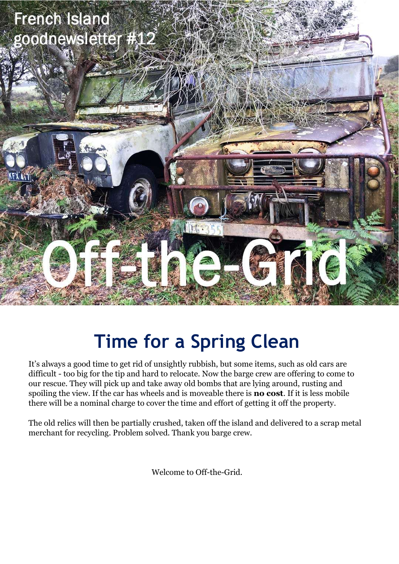

## **Time for a Spring Clean**

It's always a good time to get rid of unsightly rubbish, but some items, such as old cars are difficult - too big for the tip and hard to relocate. Now the barge crew are offering to come to our rescue. They will pick up and take away old bombs that are lying around, rusting and spoiling the view. If the car has wheels and is moveable there is **no cost**. If it is less mobile there will be a nominal charge to cover the time and effort of getting it off the property.

The old relics will then be partially crushed, taken off the island and delivered to a scrap metal merchant for recycling. Problem solved. Thank you barge crew.

Welcome to Off-the-Grid.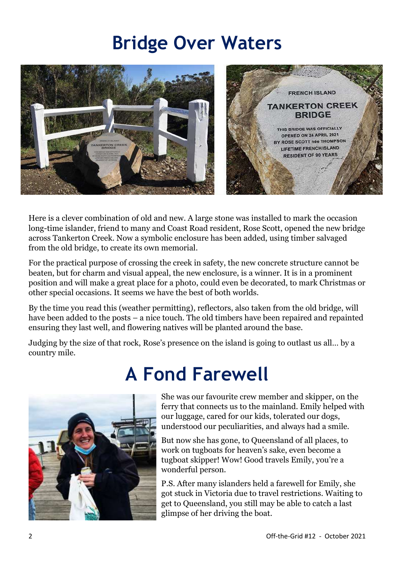### **Bridge Over Waters**



Here is a clever combination of old and new. A large stone was installed to mark the occasion long-time islander, friend to many and Coast Road resident, Rose Scott, opened the new bridge across Tankerton Creek. Now a symbolic enclosure has been added, using timber salvaged from the old bridge, to create its own memorial.

For the practical purpose of crossing the creek in safety, the new concrete structure cannot be beaten, but for charm and visual appeal, the new enclosure, is a winner. It is in a prominent position and will make a great place for a photo, could even be decorated, to mark Christmas or other special occasions. It seems we have the best of both worlds.

By the time you read this (weather permitting), reflectors, also taken from the old bridge, will have been added to the posts – a nice touch. The old timbers have been repaired and repainted ensuring they last well, and flowering natives will be planted around the base.

Judging by the size of that rock, Rose's presence on the island is going to outlast us all… by a country mile.



## **A Fond Farewell**

She was our favourite crew member and skipper, on the ferry that connects us to the mainland. Emily helped with our luggage, cared for our kids, tolerated our dogs, understood our peculiarities, and always had a smile.

But now she has gone, to Queensland of all places, to work on tugboats for heaven's sake, even become a tugboat skipper! Wow! Good travels Emily, you're a wonderful person.

P.S. After many islanders held a farewell for Emily, she got stuck in Victoria due to travel restrictions. Waiting to get to Queensland, you still may be able to catch a last glimpse of her driving the boat.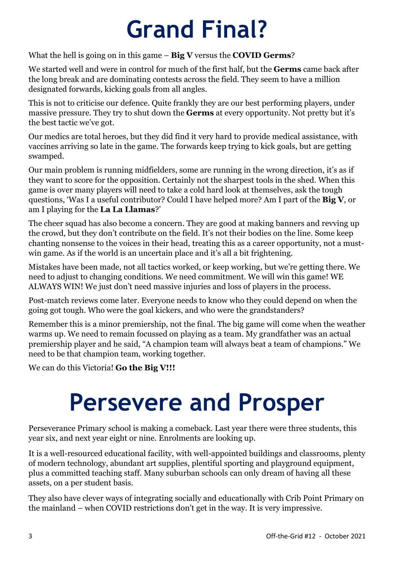# **Grand Final?**

#### What the hell is going on in this game – **Big V** versus the **COVID Germs**?

We started well and were in control for much of the first half, but the **Germs** came back after the long break and are dominating contests across the field. They seem to have a million designated forwards, kicking goals from all angles.

This is not to criticise our defence. Quite frankly they are our best performing players, under massive pressure. They try to shut down the **Germs** at every opportunity. Not pretty but it's the best tactic we've got.

Our medics are total heroes, but they did find it very hard to provide medical assistance, with vaccines arriving so late in the game. The forwards keep trying to kick goals, but are getting swamped.

Our main problem is running midfielders, some are running in the wrong direction, it's as if they want to score for the opposition. Certainly not the sharpest tools in the shed. When this game is over many players will need to take a cold hard look at themselves, ask the tough questions, 'Was I a useful contributor? Could I have helped more? Am I part of the **Big V**, or am I playing for the **La La Llamas**?'

The cheer squad has also become a concern. They are good at making banners and revving up the crowd, but they don't contribute on the field. It's not their bodies on the line. Some keep chanting nonsense to the voices in their head, treating this as a career opportunity, not a mustwin game. As if the world is an uncertain place and it's all a bit frightening.

Mistakes have been made, not all tactics worked, or keep working, but we're getting there. We need to adjust to changing conditions. We need commitment. We will win this game! WE ALWAYS WIN! We just don't need massive injuries and loss of players in the process.

Post-match reviews come later. Everyone needs to know who they could depend on when the going got tough. Who were the goal kickers, and who were the grandstanders?

Remember this is a minor premiership, not the final. The big game will come when the weather warms up. We need to remain focussed on playing as a team. My grandfather was an actual premiership player and he said, "A champion team will always beat a team of champions." We need to be that champion team, working together.

We can do this Victoria! **Go the Big V!!!**

# **Persevere and Prosper**

Perseverance Primary school is making a comeback. Last year there were three students, this year six, and next year eight or nine. Enrolments are looking up.

It is a well-resourced educational facility, with well-appointed buildings and classrooms, plenty of modern technology, abundant art supplies, plentiful sporting and playground equipment, plus a committed teaching staff. Many suburban schools can only dream of having all these assets, on a per student basis.

They also have clever ways of integrating socially and educationally with Crib Point Primary on the mainland – when COVID restrictions don't get in the way. It is very impressive.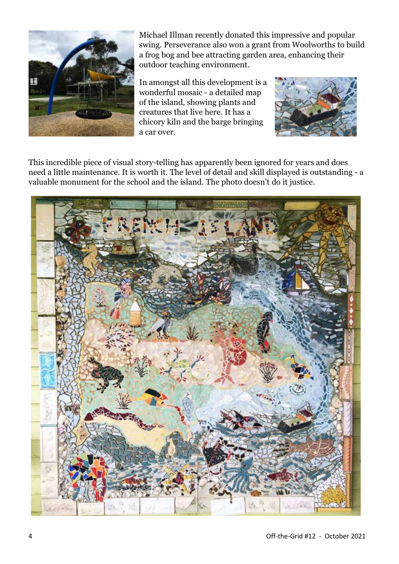

Michael Illman recently donated this impressive and popular swing. Perseverance also won a grant from Woolworths to build a frog bog and bee attracting garden area, enhancing their outdoor teaching environment.

In amongst all this development is a wonderful mosaic - a detailed map of the island, showing plants and creatures that live here. It has a chicory kiln and the barge bringing a car over.



This incredible piece of visual story-telling has apparently been ignored for years and does need a little maintenance. It is worth it. The level of detail and skill displayed is outstanding - a valuable monument for the school and the island. The photo doesn't do it justice.

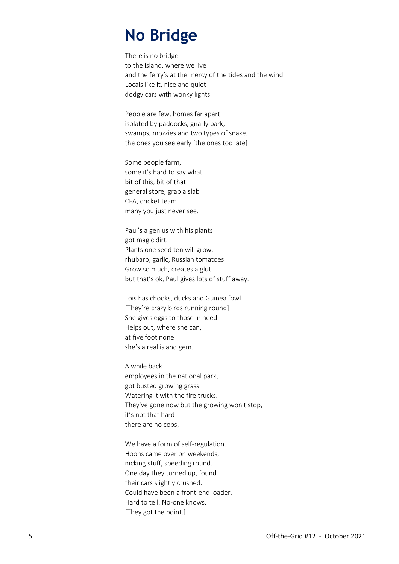### **No Bridge**

There is no bridge to the island, where we live and the ferry's at the mercy of the tides and the wind. Locals like it, nice and quiet dodgy cars with wonky lights.

People are few, homes far apart isolated by paddocks, gnarly park, swamps, mozzies and two types of snake, the ones you see early [the ones too late]

Some people farm, some it's hard to say what bit of this, bit of that general store, grab a slab CFA, cricket team many you just never see.

Paul's a genius with his plants got magic dirt. Plants one seed ten will grow. rhubarb, garlic, Russian tomatoes. Grow so much, creates a glut but that's ok, Paul gives lots of stuff away.

Lois has chooks, ducks and Guinea fowl [They're crazy birds running round] She gives eggs to those in need Helps out, where she can, at five foot none she's a real island gem.

A while back employees in the national park, got busted growing grass. Watering it with the fire trucks. They've gone now but the growing won't stop, it's not that hard there are no cops,

We have a form of self-regulation. Hoons came over on weekends, nicking stuff, speeding round. One day they turned up, found their cars slightly crushed. Could have been a front-end loader. Hard to tell. No-one knows. [They got the point.]